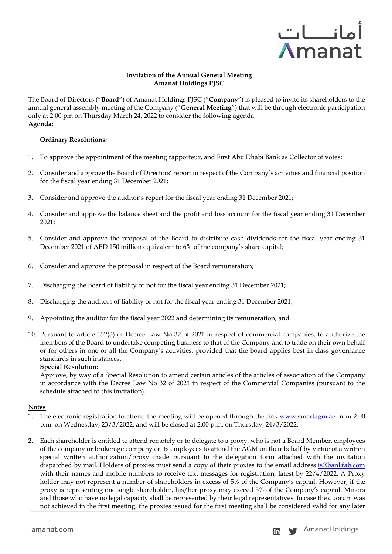

## **Invitation of the Annual General Meeting Amanat Holdings PJSC**

The Board of Directors ("**Board**") of Amanat Holdings PJSC ("**Company**") is pleased to invite its shareholders to the annual general assembly meeting of the Company ("**General Meeting**") that will be through electronic participation only at 2:00 pm on Thursday March 24, 2022 to consider the following agenda: **Agenda:**

## **Ordinary Resolutions:**

- 1. To approve the appointment of the meeting rapporteur, and First Abu Dhabi Bank as Collector of votes;
- 2. Consider and approve the Board of Directors' report in respect of the Company's activities and financial position for the fiscal year ending 31 December 2021;
- 3. Consider and approve the auditor's report for the fiscal year ending 31 December 2021;
- 4. Consider and approve the balance sheet and the profit and loss account for the fiscal year ending 31 December 2021;
- 5. Consider and approve the proposal of the Board to distribute cash dividends for the fiscal year ending 31 December 2021 of AED 150 million equivalent to 6% of the company's share capital;
- 6. Consider and approve the proposal in respect of the Board remuneration;
- 7. Discharging the Board of liability or not for the fiscal year ending 31 December 2021;
- 8. Discharging the auditors of liability or not for the fiscal year ending 31 December 2021;
- 9. Appointing the auditor for the fiscal year 2022 and determining its remuneration; and
- 10. Pursuant to article 152(3) of Decree Law No 32 of 2021 in respect of commercial companies, to authorize the members of the Board to undertake competing business to that of the Company and to trade on their own behalf or for others in one or all the Company's activities, provided that the board applies best in class governance standards in such instances.

#### **Special Resolution:**

Approve, by way of a Special Resolution to amend certain articles of the articles of association of the Company in accordance with the Decree Law No 32 of 2021 in respect of the Commercial Companies (pursuant to the schedule attached to this invitation).

#### **Notes**

- 1. The electronic registration to attend the meeting will be opened through the link [www.smartagm.ae](http://www.smartagm.ae/) from 2:00 p.m. on Wednesday, 23/3/2022, and will be closed at 2:00 p.m. on Thursday, 24/3/2022.
- 2. Each shareholder is entitled to attend remotely or to delegate to a proxy, who is not a Board Member, employees of the company or brokerage company or its employees to attend the AGM on their behalf by virtue of a written special written authorization/proxy made pursuant to the delegation form attached with the invitation dispatched by mail. Holders of proxies must send a copy of their proxies to the email address is@bankfab.com with their names and mobile numbers to receive text messages for registration, latest by 22/4/2022. A Proxy holder may not represent a number of shareholders in excess of 5% of the Company's capital. However, if the proxy is representing one single shareholder, his/her proxy may exceed 5% of the Company's capital. Minors and those who have no legal capacity shall be represented by their legal representatives. In case the quorum was not achieved in the first meeting, the proxies issued for the first meeting shall be considered valid for any later

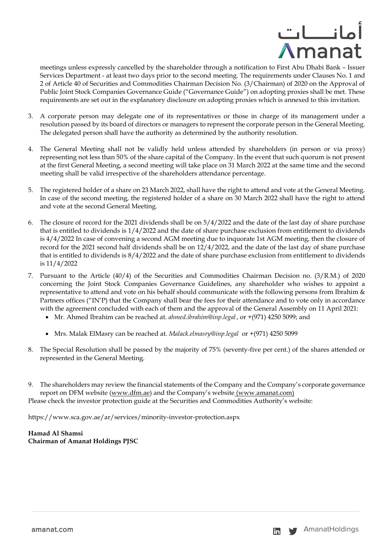

meetings unless expressly cancelled by the shareholder through a notification to First Abu Dhabi Bank – Issuer Services Department - at least two days prior to the second meeting. The requirements under Clauses No. 1 and 2 of Article 40 of Securities and Commodities Chairman Decision No. (3/Chairman) of 2020 on the Approval of Public Joint Stock Companies Governance Guide ("Governance Guide") on adopting proxies shall be met. These requirements are set out in the explanatory disclosure on adopting proxies which is annexed to this invitation.

- 3. A corporate person may delegate one of its representatives or those in charge of its management under a resolution passed by its board of directors or managers to represent the corporate person in the General Meeting. The delegated person shall have the authority as determined by the authority resolution.
- 4. The General Meeting shall not be validly held unless attended by shareholders (in person or via proxy) representing not less than 50% of the share capital of the Company. In the event that such quorum is not present at the first General Meeting, a second meeting will take place on 31 March 2022 at the same time and the second meeting shall be valid irrespective of the shareholders attendance percentage.
- 5. The registered holder of a share on 23 March 2022, shall have the right to attend and vote at the General Meeting. In case of the second meeting, the registered holder of a share on 30 March 2022 shall have the right to attend and vote at the second General Meeting.
- 6. The closure of record for the 2021 dividends shall be on 5/4/2022 and the date of the last day of share purchase that is entitled to dividends is 1/4/2022 and the date of share purchase exclusion from entitlement to dividends is 4/4/2022 In case of convening a second AGM meeting due to inquorate 1st AGM meeting, then the closure of record for the 2021 second half dividends shall be on 12/4/2022, and the date of the last day of share purchase that is entitled to dividends is 8/4/2022 and the date of share purchase exclusion from entitlement to dividends is 11/4/2022
- 7. Pursuant to the Article (40/4) of the Securities and Commodities Chairman Decision no. (3/R.M.) of 2020 concerning the Joint Stock Companies Governance Guidelines, any shareholder who wishes to appoint a representative to attend and vote on his behalf should communicate with the following persons from Ibrahim & Partners offices ("IN'P) that the Company shall bear the fees for their attendance and to vote only in accordance with the agreement concluded with each of them and the approval of the General Assembly on 11 April 2021:
	- Mr. Ahmed Ibrahim can be reached at. *ahmed.ibrahim@inp.legal* , or +(971) 4250 5099; and
	- Mrs. Malak ElMasry can be reached at. *[Malack.elmasry@inp.legal](mailto:Malack.elmasry@inp.legal)* or +(971) 4250 5099
- 8. The Special Resolution shall be passed by the majority of 75% (seventy-five per cent.) of the shares attended or represented in the General Meeting.
- 9. The shareholders may review the financial statements of the Company and the Company's corporate governance report on DFM website [\(www.dfm.ae\)](http://www.dfm.ae/) and the Company's website (www.amanat.com) Please check the investor protection guide at the Securities and Commodities Authority's website:

https://www.sca.gov.ae/ar/services/minority-investor-protection.aspx

# **Hamad Al Shamsi Chairman of Amanat Holdings PJSC**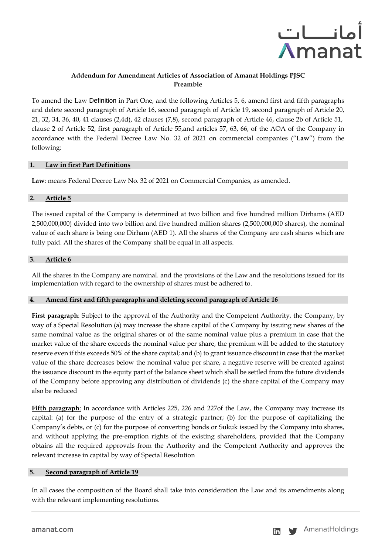

# **Addendum for Amendment Articles of Association of Amanat Holdings PJSC Preamble**

To amend the Law Definition in Part One, and the following Articles 5, 6, amend first and fifth paragraphs and delete second paragraph of Article 16, second paragraph of Article 19, second paragraph of Article 20, 21, 32, 34, 36, 40, 41 clauses (2,4d), 42 clauses (7,8), second paragraph of Article 46, clause 2b of Article 51, clause 2 of Article 52, first paragraph of Article 55,and articles 57, 63, 66, of the AOA of the Company in accordance with the Federal Decree Law No. 32 of 2021 on commercial companies ("**Law**") from the following:

### **1. Law in first Part Definitions**

**Law**: means Federal Decree Law No. 32 of 2021 on Commercial Companies, as amended .

### **2. Article 5**

The issued capital of the Company is determined at two billion and five hundred million Dirhams (AED 2,500,000,000) divided into two billion and five hundred million shares (2,500,000,000 shares), the nominal value of each share is being one Dirham (AED 1). All the shares of the Company are cash shares which are fully paid. All the shares of the Company shall be equal in all aspects.

### **3. Article 6**

All the shares in the Company are nominal. and the provisions of the Law and the resolutions issued for its implementation with regard to the ownership of shares must be adhered to.

## **4. Amend first and fifth paragraphs and deleting second paragraph of Article 16**

**First paragraph**: Subject to the approval of the Authority and the Competent Authority, the Company, by way of a Special Resolution (a) may increase the share capital of the Company by issuing new shares of the same nominal value as the original shares or of the same nominal value plus a premium in case that the market value of the share exceeds the nominal value per share, the premium will be added to the statutory reserve even if this exceeds 50% of the share capital; and (b) to grant issuance discount in case that the market value of the share decreases below the nominal value per share, a negative reserve will be created against the issuance discount in the equity part of the balance sheet which shall be settled from the future dividends of the Company before approving any distribution of dividends (c) the share capital of the Company may also be reduced

**Fifth paragraph**: In accordance with Articles 225, 226 and 227of the Law, the Company may increase its capital: (a) for the purpose of the entry of a strategic partner; (b) for the purpose of capitalizing the Company's debts, or (c) for the purpose of converting bonds or Sukuk issued by the Company into shares, and without applying the pre-emption rights of the existing shareholders, provided that the Company obtains all the required approvals from the Authority and the Competent Authority and approves the relevant increase in capital by way of Special Resolution

## **5. Second paragraph of Article 19**

In all cases the composition of the Board shall take into consideration the Law and its amendments along with the relevant implementing resolutions.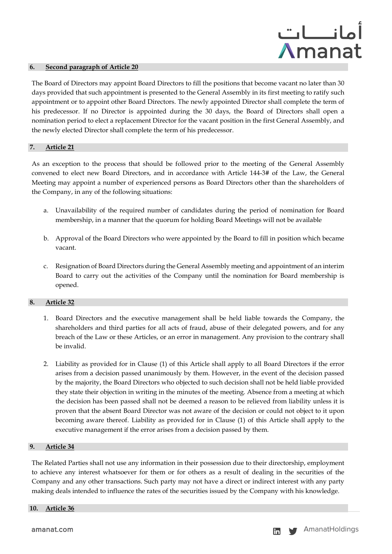

#### **6. Second paragraph of Article 20**

The Board of Directors may appoint Board Directors to fill the positions that become vacant no later than 30 days provided that such appointment is presented to the General Assembly in its first meeting to ratify such appointment or to appoint other Board Directors. The newly appointed Director shall complete the term of his predecessor. If no Director is appointed during the 30 days, the Board of Directors shall open a nomination period to elect a replacement Director for the vacant position in the first General Assembly, and the newly elected Director shall complete the term of his predecessor.

#### **7. Article 21**

As an exception to the process that should be followed prior to the meeting of the General Assembly convened to elect new Board Directors, and in accordance with Article 144-3# of the Law, the General Meeting may appoint a number of experienced persons as Board Directors other than the shareholders of the Company, in any of the following situations:

- a. Unavailability of the required number of candidates during the period of nomination for Board membership, in a manner that the quorum for holding Board Meetings will not be available
- b. Approval of the Board Directors who were appointed by the Board to fill in position which became vacant.
- c. Resignation of Board Directors during the General Assembly meeting and appointment of an interim Board to carry out the activities of the Company until the nomination for Board membership is opened.

#### **8. Article 32**

- 1. Board Directors and the executive management shall be held liable towards the Company, the shareholders and third parties for all acts of fraud, abuse of their delegated powers, and for any breach of the Law or these Articles, or an error in management. Any provision to the contrary shall be invalid.
- 2. Liability as provided for in Clause (1) of this Article shall apply to all Board Directors if the error arises from a decision passed unanimously by them. However, in the event of the decision passed by the majority, the Board Directors who objected to such decision shall not be held liable provided they state their objection in writing in the minutes of the meeting. Absence from a meeting at which the decision has been passed shall not be deemed a reason to be relieved from liability unless it is proven that the absent Board Director was not aware of the decision or could not object to it upon becoming aware thereof. Liability as provided for in Clause (1) of this Article shall apply to the executive management if the error arises from a decision passed by them.

#### **9. Article 34**

The Related Parties shall not use any information in their possession due to their directorship, employment to achieve any interest whatsoever for them or for others as a result of dealing in the securities of the Company and any other transactions. Such party may not have a direct or indirect interest with any party making deals intended to influence the rates of the securities issued by the Company with his knowledge.

#### **10. Article 36**

amanat.com amanation and the set of the set of the set of the set of the set of the set of the set of the set o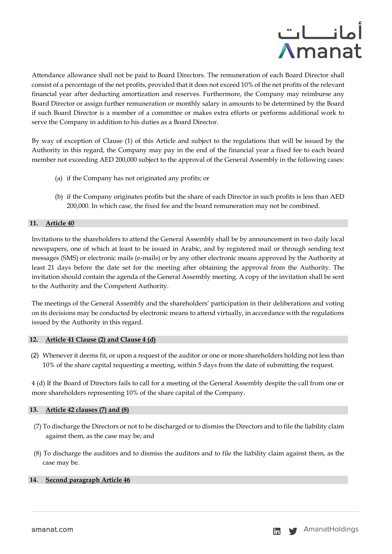

Attendance allowance shall not be paid to Board Directors. The remuneration of each Board Director shall consist of a percentage of the net profits, provided that it does not exceed 10% of the net profits of the relevant financial year after deducting amortization and reserves. Furthermore, the Company may reimburse any Board Director or assign further remuneration or monthly salary in amounts to be determined by the Board if such Board Director is a member of a committee or makes extra efforts or performs additional work to serve the Company in addition to his duties as a Board Director.

By way of exception of Clause (1) of this Article and subject to the regulations that will be issued by the Authority in this regard, the Company may pay in the end of the financial year a fixed fee to each board member not exceeding AED 200,000 subject to the approval of the General Assembly in the following cases:

- (a) if the Company has not originated any profits; or
- (b) if the Company originates profits but the share of each Director in such profits is less than AED 200,000. In which case, the fixed fee and the board remuneration may not be combined.

## **11. Article 40**

Invitations to the shareholders to attend the General Assembly shall be by announcement in two daily local newspapers, one of which at least to be issued in Arabic, and by registered mail or through sending text messages (SMS) or electronic mails (e-mails) or by any other electronic means approved by the Authority at least 21 days before the date set for the meeting after obtaining the approval from the Authority. The invitation should contain the agenda of the General Assembly meeting. A copy of the invitation shall be sent to the Authority and the Competent Authority.

The meetings of the General Assembly and the shareholders' participation in their deliberations and voting on its decisions may be conducted by electronic means to attend virtually, in accordance with the regulations issued by the Authority in this regard.

## **12. Article 41 Clause (2) and Clause 4 (d)**

(2) Whenever it deems fit, or upon a request of the auditor or one or more shareholders holding not less than 10% of the share capital requesting a meeting, within 5 days from the date of submitting the request.

4 (d) If the Board of Directors fails to call for a meeting of the General Assembly despite the call from one or more shareholders representing 10% of the share capital of the Company.

## **13. Article 42 clauses (7) and (8)**

- (7) To discharge the Directors or not to be discharged or to dismiss the Directors and to file the liability claim against them, as the case may be; and
- (8) To discharge the auditors and to dismiss the auditors and to file the liability claim against them, as the case may be.

## **14. Second paragraph Article 46**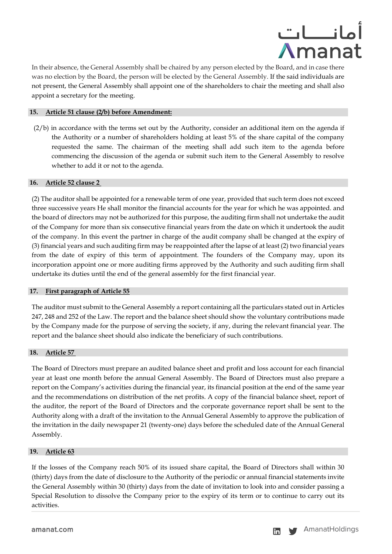

In their absence, the General Assembly shall be chaired by any person elected by the Board, and in case there was no election by the Board, the person will be elected by the General Assembly. If the said individuals are not present, the General Assembly shall appoint one of the shareholders to chair the meeting and shall also appoint a secretary for the meeting.

### **15. Article 51 clause (2/b) before Amendment:**

(2/b) in accordance with the terms set out by the Authority, consider an additional item on the agenda if the Authority or a number of shareholders holding at least 5% of the share capital of the company requested the same. The chairman of the meeting shall add such item to the agenda before commencing the discussion of the agenda or submit such item to the General Assembly to resolve whether to add it or not to the agenda.

#### **16. Article 52 clause 2**

(2) The auditor shall be appointed for a renewable term of one year, provided that such term does not exceed three successive years He shall monitor the financial accounts for the year for which he was appointed. and the board of directors may not be authorized for this purpose, the auditing firm shall not undertake the audit of the Company for more than six consecutive financial years from the date on which it undertook the audit of the company. In this event the partner in charge of the audit company shall be changed at the expiry of (3) financial years and such auditing firm may be reappointed after the lapse of at least (2) two financial years from the date of expiry of this term of appointment. The founders of the Company may, upon its incorporation appoint one or more auditing firms approved by the Authority and such auditing firm shall undertake its duties until the end of the general assembly for the first financial year.

#### **17. First paragraph of Article 55**

The auditor must submit to the General Assembly a report containing all the particulars stated out in Articles 247, 248 and 252 of the Law. The report and the balance sheet should show the voluntary contributions made by the Company made for the purpose of serving the society, if any, during the relevant financial year. The report and the balance sheet should also indicate the beneficiary of such contributions.

#### **18. Article 57**

The Board of Directors must prepare an audited balance sheet and profit and loss account for each financial year at least one month before the annual General Assembly. The Board of Directors must also prepare a report on the Company's activities during the financial year, its financial position at the end of the same year and the recommendations on distribution of the net profits. A copy of the financial balance sheet, report of the auditor, the report of the Board of Directors and the corporate governance report shall be sent to the Authority along with a draft of the invitation to the Annual General Assembly to approve the publication of the invitation in the daily newspaper 21 (twenty-one) days before the scheduled date of the Annual General Assembly.

#### **19. Article 63**

If the losses of the Company reach 50% of its issued share capital, the Board of Directors shall within 30 (thirty) days from the date of disclosure to the Authority of the periodic or annual financial statements invite the General Assembly within 30 (thirty) days from the date of invitation to look into and consider passing a Special Resolution to dissolve the Company prior to the expiry of its term or to continue to carry out its activities.

amanat.com amanatholdings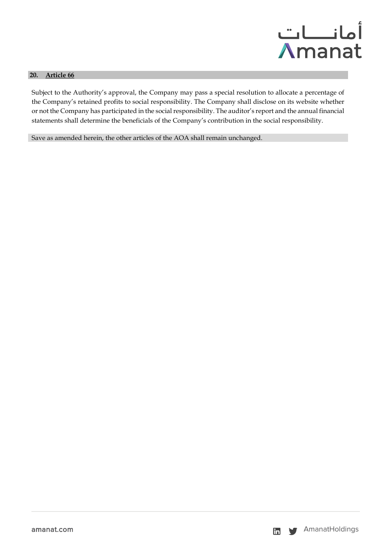

### **20. Article 66**

Subject to the Authority's approval, the Company may pass a special resolution to allocate a percentage of the Company's retained profits to social responsibility. The Company shall disclose on its website whether or not the Company has participated in the social responsibility. The auditor's report and the annual financial statements shall determine the beneficials of the Company's contribution in the social responsibility.

Save as amended herein, the other articles of the AOA shall remain unchanged.